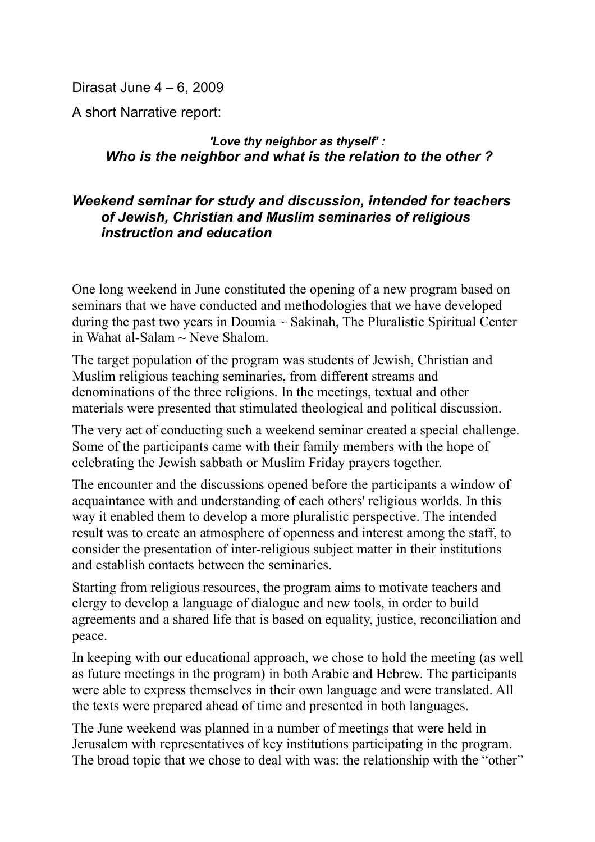Dirasat June 4 – 6, 2009

A short Narrative report:

## *'Love thy neighbor as thyself' : Who is the neighbor and what is the relation to the other ?*

## *Weekend seminar for study and discussion, intended for teachers of Jewish, Christian and Muslim seminaries of religious instruction and education*

One long weekend in June constituted the opening of a new program based on seminars that we have conducted and methodologies that we have developed during the past two years in Doumia  $\sim$  Sakinah, The Pluralistic Spiritual Center in Wahat al-Salam  $\sim$  Neve Shalom.

The target population of the program was students of Jewish, Christian and Muslim religious teaching seminaries, from different streams and denominations of the three religions. In the meetings, textual and other materials were presented that stimulated theological and political discussion.

The very act of conducting such a weekend seminar created a special challenge. Some of the participants came with their family members with the hope of celebrating the Jewish sabbath or Muslim Friday prayers together.

The encounter and the discussions opened before the participants a window of acquaintance with and understanding of each others' religious worlds. In this way it enabled them to develop a more pluralistic perspective. The intended result was to create an atmosphere of openness and interest among the staff, to consider the presentation of inter-religious subject matter in their institutions and establish contacts between the seminaries.

Starting from religious resources, the program aims to motivate teachers and clergy to develop a language of dialogue and new tools, in order to build agreements and a shared life that is based on equality, justice, reconciliation and peace.

In keeping with our educational approach, we chose to hold the meeting (as well as future meetings in the program) in both Arabic and Hebrew. The participants were able to express themselves in their own language and were translated. All the texts were prepared ahead of time and presented in both languages.

The June weekend was planned in a number of meetings that were held in Jerusalem with representatives of key institutions participating in the program. The broad topic that we chose to deal with was: the relationship with the "other"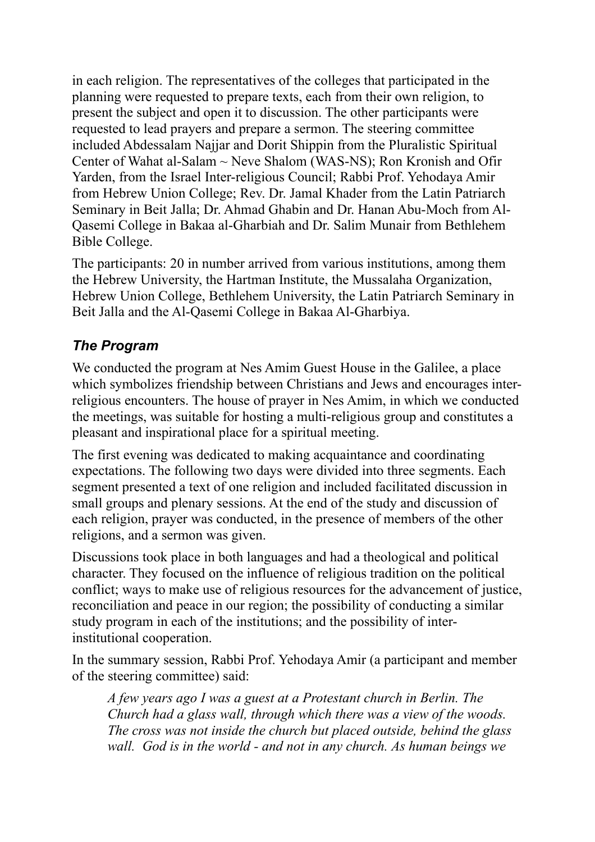in each religion. The representatives of the colleges that participated in the planning were requested to prepare texts, each from their own religion, to present the subject and open it to discussion. The other participants were requested to lead prayers and prepare a sermon. The steering committee included Abdessalam Najjar and Dorit Shippin from the Pluralistic Spiritual Center of Wahat al-Salam ~ Neve Shalom (WAS-NS); Ron Kronish and Ofir Yarden, from the Israel Inter-religious Council; Rabbi Prof. Yehodaya Amir from Hebrew Union College; Rev. Dr. Jamal Khader from the Latin Patriarch Seminary in Beit Jalla; Dr. Ahmad Ghabin and Dr. Hanan Abu-Moch from Al-Qasemi College in Bakaa al-Gharbiah and Dr. Salim Munair from Bethlehem Bible College.

The participants: 20 in number arrived from various institutions, among them the Hebrew University, the Hartman Institute, the Mussalaha Organization, Hebrew Union College, Bethlehem University, the Latin Patriarch Seminary in Beit Jalla and the Al-Qasemi College in Bakaa Al-Gharbiya.

## *The Program*

We conducted the program at Nes Amim Guest House in the Galilee, a place which symbolizes friendship between Christians and Jews and encourages interreligious encounters. The house of prayer in Nes Amim, in which we conducted the meetings, was suitable for hosting a multi-religious group and constitutes a pleasant and inspirational place for a spiritual meeting.

The first evening was dedicated to making acquaintance and coordinating expectations. The following two days were divided into three segments. Each segment presented a text of one religion and included facilitated discussion in small groups and plenary sessions. At the end of the study and discussion of each religion, prayer was conducted, in the presence of members of the other religions, and a sermon was given.

Discussions took place in both languages and had a theological and political character. They focused on the influence of religious tradition on the political conflict; ways to make use of religious resources for the advancement of justice, reconciliation and peace in our region; the possibility of conducting a similar study program in each of the institutions; and the possibility of interinstitutional cooperation.

In the summary session, Rabbi Prof. Yehodaya Amir (a participant and member of the steering committee) said:

*A few years ago I was a guest at a Protestant church in Berlin. The Church had a glass wall, through which there was a view of the woods. The cross was not inside the church but placed outside, behind the glass wall. God is in the world - and not in any church. As human beings we*